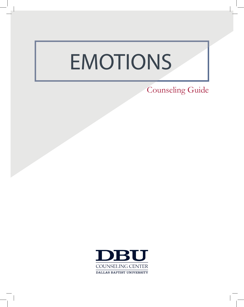# **EMOTIONS**

Counseling Guide

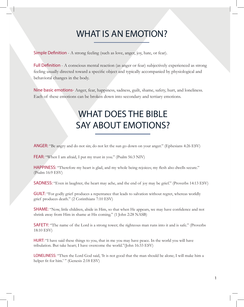#### WHAT IS AN EMOTION?

Simple Definition - A strong feeling (such as love, anger, joy, hate, or fear).

Full Definition - A conscious mental reaction (as anger or fear) subjectively experienced as strong feeling usually directed toward a specific object and typically accompanied by physiological and behavioral changes in the body.

Nine basic emotions- Anger, fear, happiness, sadness, guilt, shame, safety, hurt, and loneliness. Each of these emotions can be broken down into secondary and tertiary emotions.

### WHAT DOES THE BIBLE SAY ABOUT EMOTIONS?

ANGER: "Be angry and do not sin; do not let the sun go down on your anger." (Ephesians 4:26 ESV)

FEAR: "When I am afraid, I put my trust in you." (Psalm 56:3 NIV)

HAPPINESS: "Therefore my heart is glad, and my whole being rejoices; my flesh also dwells secure." (Psalm 16:9 ESV)

SADNESS: "Even in laughter, the heart may ache, and the end of joy may be grief." (Proverbs 14:13 ESV)

GUILT: "For godly grief produces a repentance that leads to salvation without regret, whereas worldly grief produces death." (2 Corinthians 7:10 ESV)

SHAME: "Now, little children, abide in Him, so that when He appears, we may have confidence and not shrink away from Him in shame at His coming." (1 John 2:28 NASB)

SAFETY: "The name of the Lord is a strong tower; the righteous man runs into it and is safe." (Proverbs 18:10 ESV)

HURT: "I have said these things to you, that in me you may have peace. In the world you will have tribulation. But take heart; I have overcome the world."(John 16:33 ESV)

LONELINESS: "Then the Lord God said, 'It is not good that the man should be alone; I will make him a helper fit for him.' " (Genesis 2:18 ESV)

1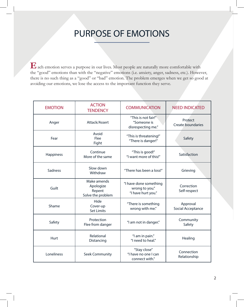#### PURPOSE OF EMOTIONS

**E**ach emotion serves a purpose in our lives. Most people are naturally more comfortable with the "good" emotions than with the "negative" emotions (i.e. anxiety, anger, sadness, etc.). However, there is no such thing as a "good" or "bad" emotion. The problem emerges when we get so good at avoiding our emotions, we lose the access to the important function they serve.

| <b>EMOTION</b> | <b>ACTION</b><br><b>TENDENCY</b>                        | <b>COMMUNICATION</b>                                           | <b>NEED INDICATED</b>                |
|----------------|---------------------------------------------------------|----------------------------------------------------------------|--------------------------------------|
| Anger          | Attack/Assert                                           | "This is not fair!"<br>"Someone is<br>disrespecting me."       | Protect<br>Create boundaries         |
| Fear           | Avoid<br>Flee<br>Fight                                  | "This is threatening!"<br>"There is danger!"                   | Safety                               |
| Happiness      | Continue<br>More of the same                            | "This is good!"<br>"I want more of this!"                      | Satisfaction                         |
| Sadness        | Slow down<br>Withdraw                                   | "There has been a loss!"                                       | Grieving                             |
| Guilt          | Make amends<br>Apologize<br>Repent<br>Solve the problem | "I have done something<br>wrong to you."<br>"I have hurt you." | Correction<br>Self-respect           |
| Shame          | Hide<br>Cover-up<br><b>Set Limits</b>                   | "There is something<br>wrong with me."                         | Approval<br><b>Social Acceptance</b> |
| Safety         | Protection<br>Flee from danger                          | "I am not in danger."                                          | Community<br>Safety                  |
| Hurt           | Relational<br>Distancing                                | "I am in pain."<br>"I need to heal."                           | Healing                              |
| Loneliness     | <b>Seek Community</b>                                   | "Stay close"<br>"I have no one I can<br>connect with."         | Connection<br>Relationship           |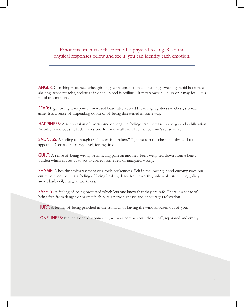Emotions often take the form of a physical feeling. Read the physical responses below and see if you can identify each emotion.

ANGER: Clenching fists, headache, grinding teeth, upset stomach, flushing, sweating, rapid heart rate, shaking, tense muscles, feeling as if one's "blood is boiling." It may slowly build up or it may feel like a flood of emotions.

FEAR: Fight or flight response. Increased heartrate, labored breathing, tightness in chest, stomach ache. It is a sense of impending doom or of being threatened in some way.

HAPPINESS: A suppression of worrisome or negative feelings. An increase in energy and exhilaration. An adrenaline boost, which makes one feel warm all over. It enhances one's sense of self.

SADNESS: A feeling as though one's heart is "broken." Tightness in the chest and throat. Loss of appetite. Decrease in energy level, feeling tired.

**GUILT:** A sense of being wrong or inflicting pain on another. Feels weighted down from a heavy burden which causes us to act to correct some real or imagined wrong.

SHAME: A healthy embarrassment or a toxic brokenness. Felt in the lower gut and encompasses our entire perspective. It is a feeling of being broken, defective, unworthy, unlovable, stupid, ugly, dirty, awful, bad, evil, crazy, or worthless.

**SAFETY:** A feeling of being protected which lets one know that they are safe. There is a sense of being free from danger or harm which puts a person at ease and encourages relaxation.

HURT: A feeling of being punched in the stomach or having the wind knocked out of you.

LONELINESS: Feeling alone, disconnected, without companions, closed off, separated and empty.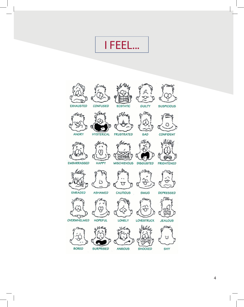I FEEL...





 $\overline{4}$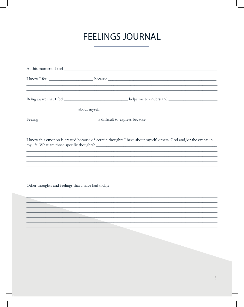## **FEELINGS JOURNAL**

| about myself. |                                                                                                                       |
|---------------|-----------------------------------------------------------------------------------------------------------------------|
|               |                                                                                                                       |
|               | <u> 1989 - Johann Barbara, marka marka masjid aka masjid aka masjid aka masjid aka masjid aka masjid aka masjid a</u> |
|               | I know this emotion is created because of certain thoughts I have about myself, others, God and/or the events in      |
|               | ,我们也不能在这里的时候,我们也不能在这里的时候,我们也不能不能不能不能不能不能不能不能不能不能不能不能不能不能不能。""我们的是,我们也不能不能不能不能不能不能                                     |
|               |                                                                                                                       |
|               |                                                                                                                       |
|               |                                                                                                                       |
|               |                                                                                                                       |
|               |                                                                                                                       |
|               | <u> 1990 - Johann Barbara, markazar margolar (h. 1980).</u>                                                           |
|               |                                                                                                                       |
|               |                                                                                                                       |
|               |                                                                                                                       |
|               |                                                                                                                       |
|               |                                                                                                                       |
|               |                                                                                                                       |
|               |                                                                                                                       |
|               |                                                                                                                       |
|               |                                                                                                                       |